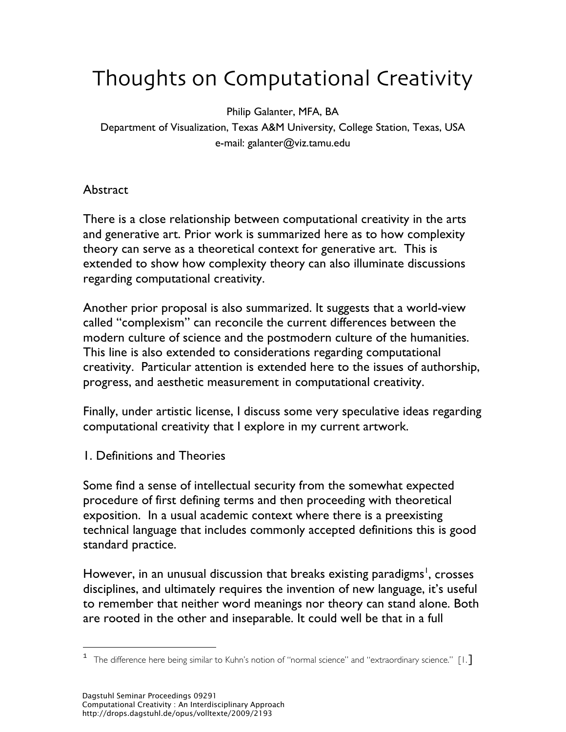# Thoughts on Computational Creativity

Philip Galanter, MFA, BA

Department of Visualization, Texas A&M University, College Station, Texas, USA e-mail: galanter@viz.tamu.edu

**Abstract** 

There is a close relationship between computational creativity in the arts and generative art. Prior work is summarized here as to how complexity theory can serve as a theoretical context for generative art. This is extended to show how complexity theory can also illuminate discussions regarding computational creativity.

Another prior proposal is also summarized. It suggests that a world-view called "complexism" can reconcile the current differences between the modern culture of science and the postmodern culture of the humanities. This line is also extended to considerations regarding computational creativity. Particular attention is extended here to the issues of authorship, progress, and aesthetic measurement in computational creativity.

Finally, under artistic license, I discuss some very speculative ideas regarding computational creativity that I explore in my current artwork.

1. Definitions and Theories

Some find a sense of intellectual security from the somewhat expected procedure of first defining terms and then proceeding with theoretical exposition. In a usual academic context where there is a preexisting technical language that includes commonly accepted definitions this is good standard practice.

However, in an unusual discussion that breaks existing paradigms<sup>1</sup>, crosses disciplines, and ultimately requires the invention of new language, it's useful to remember that neither word meanings nor theory can stand alone. Both are rooted in the other and inseparable. It could well be that in a full

The difference here being similar to Kuhn's notion of "normal science" and "extraordinary science." [1.]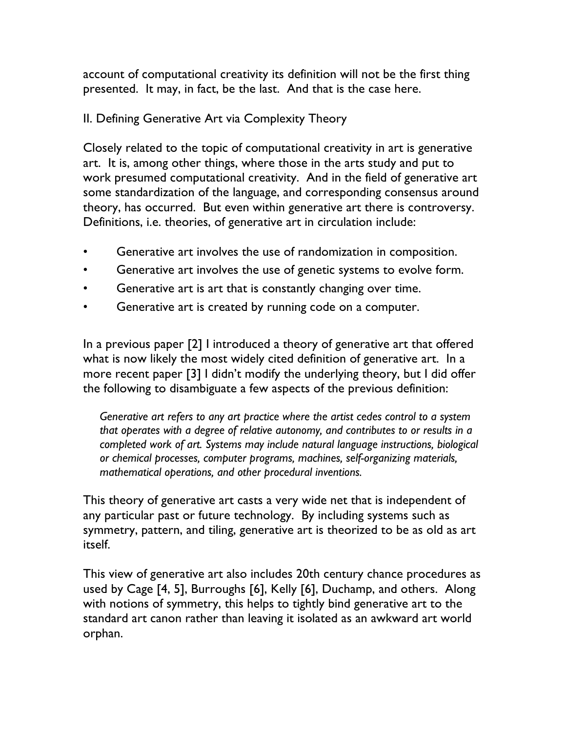account of computational creativity its definition will not be the first thing presented. It may, in fact, be the last. And that is the case here.

## II. Defining Generative Art via Complexity Theory

Closely related to the topic of computational creativity in art is generative art. It is, among other things, where those in the arts study and put to work presumed computational creativity. And in the field of generative art some standardization of the language, and corresponding consensus around theory, has occurred. But even within generative art there is controversy. Definitions, i.e. theories, of generative art in circulation include:

- Generative art involves the use of randomization in composition.
- Generative art involves the use of genetic systems to evolve form.
- Generative art is art that is constantly changing over time.
- Generative art is created by running code on a computer.

In a previous paper [2] I introduced a theory of generative art that offered what is now likely the most widely cited definition of generative art. In a more recent paper [3] I didn't modify the underlying theory, but I did offer the following to disambiguate a few aspects of the previous definition:

*Generative art refers to any art practice where the artist cedes control to a system that operates with a degree of relative autonomy, and contributes to or results in a completed work of art. Systems may include natural language instructions, biological or chemical processes, computer programs, machines, self-organizing materials, mathematical operations, and other procedural inventions.*

This theory of generative art casts a very wide net that is independent of any particular past or future technology. By including systems such as symmetry, pattern, and tiling, generative art is theorized to be as old as art itself.

This view of generative art also includes 20th century chance procedures as used by Cage [4, 5], Burroughs [6], Kelly [6], Duchamp, and others. Along with notions of symmetry, this helps to tightly bind generative art to the standard art canon rather than leaving it isolated as an awkward art world orphan.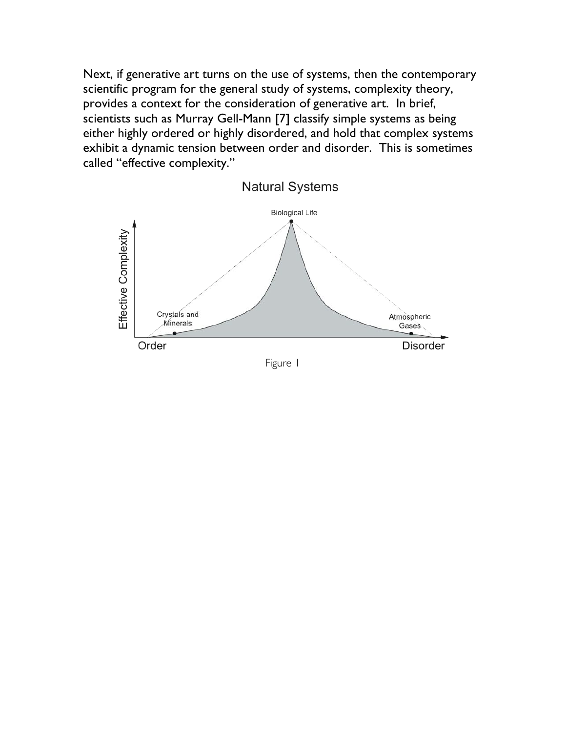Next, if generative art turns on the use of systems, then the contemporary scientific program for the general study of systems, complexity theory, provides a context for the consideration of generative art. In brief, scientists such as Murray Gell-Mann [7] classify simple systems as being either highly ordered or highly disordered, and hold that complex systems exhibit a dynamic tension between order and disorder. This is sometimes called "effective complexity."

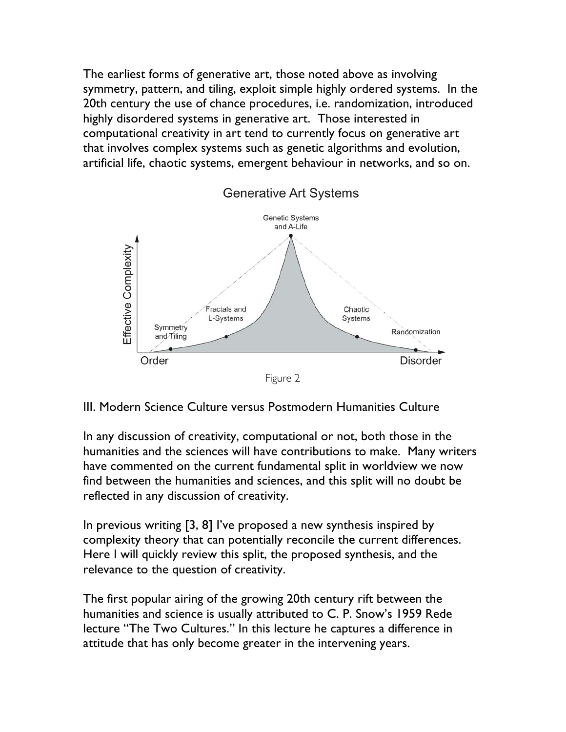The earliest forms of generative art, those noted above as involving symmetry, pattern, and tiling, exploit simple highly ordered systems. In the 20th century the use of chance procedures, i.e. randomization, introduced highly disordered systems in generative art. Those interested in computational creativity in art tend to currently focus on generative art that involves complex systems such as genetic algorithms and evolution, artificial life, chaotic systems, emergent behaviour in networks, and so on.



#### III. Modern Science Culture versus Postmodern Humanities Culture

In any discussion of creativity, computational or not, both those in the humanities and the sciences will have contributions to make. Many writers have commented on the current fundamental split in worldview we now find between the humanities and sciences, and this split will no doubt be reflected in any discussion of creativity.

In previous writing [3, 8] I've proposed a new synthesis inspired by complexity theory that can potentially reconcile the current differences. Here I will quickly review this split, the proposed synthesis, and the relevance to the question of creativity.

The first popular airing of the growing 20th century rift between the humanities and science is usually attributed to C. P. Snow's 1959 Rede lecture "The Two Cultures." In this lecture he captures a difference in attitude that has only become greater in the intervening years.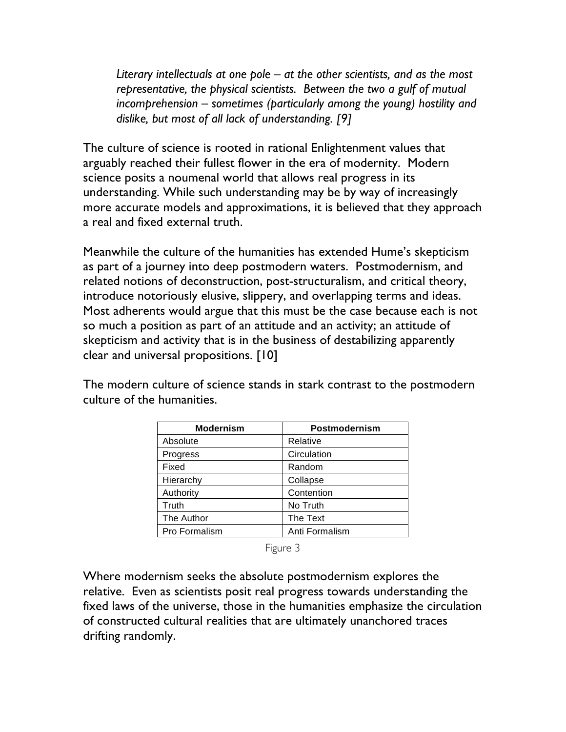*Literary intellectuals at one pole – at the other scientists, and as the most representative, the physical scientists. Between the two a gulf of mutual incomprehension – sometimes (particularly among the young) hostility and dislike, but most of all lack of understanding. [9]*

The culture of science is rooted in rational Enlightenment values that arguably reached their fullest flower in the era of modernity. Modern science posits a noumenal world that allows real progress in its understanding. While such understanding may be by way of increasingly more accurate models and approximations, it is believed that they approach a real and fixed external truth.

Meanwhile the culture of the humanities has extended Hume's skepticism as part of a journey into deep postmodern waters. Postmodernism, and related notions of deconstruction, post-structuralism, and critical theory, introduce notoriously elusive, slippery, and overlapping terms and ideas. Most adherents would argue that this must be the case because each is not so much a position as part of an attitude and an activity; an attitude of skepticism and activity that is in the business of destabilizing apparently clear and universal propositions. [10]

The modern culture of science stands in stark contrast to the postmodern culture of the humanities.

| <b>Modernism</b> | Postmodernism  |  |
|------------------|----------------|--|
| Absolute         | Relative       |  |
| Progress         | Circulation    |  |
| Fixed            | Random         |  |
| Hierarchy        | Collapse       |  |
| Authority        | Contention     |  |
| Truth            | No Truth       |  |
| The Author       | The Text       |  |
| Pro Formalism    | Anti Formalism |  |

Figure 3

Where modernism seeks the absolute postmodernism explores the relative. Even as scientists posit real progress towards understanding the fixed laws of the universe, those in the humanities emphasize the circulation of constructed cultural realities that are ultimately unanchored traces drifting randomly.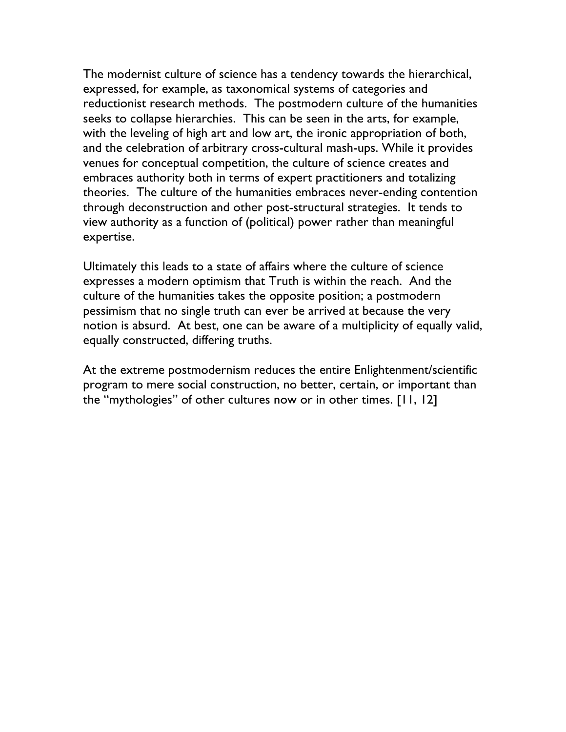The modernist culture of science has a tendency towards the hierarchical, expressed, for example, as taxonomical systems of categories and reductionist research methods. The postmodern culture of the humanities seeks to collapse hierarchies. This can be seen in the arts, for example, with the leveling of high art and low art, the ironic appropriation of both, and the celebration of arbitrary cross-cultural mash-ups. While it provides venues for conceptual competition, the culture of science creates and embraces authority both in terms of expert practitioners and totalizing theories. The culture of the humanities embraces never-ending contention through deconstruction and other post-structural strategies. It tends to view authority as a function of (political) power rather than meaningful expertise.

Ultimately this leads to a state of affairs where the culture of science expresses a modern optimism that Truth is within the reach. And the culture of the humanities takes the opposite position; a postmodern pessimism that no single truth can ever be arrived at because the very notion is absurd. At best, one can be aware of a multiplicity of equally valid, equally constructed, differing truths.

At the extreme postmodernism reduces the entire Enlightenment/scientific program to mere social construction, no better, certain, or important than the "mythologies" of other cultures now or in other times. [11, 12]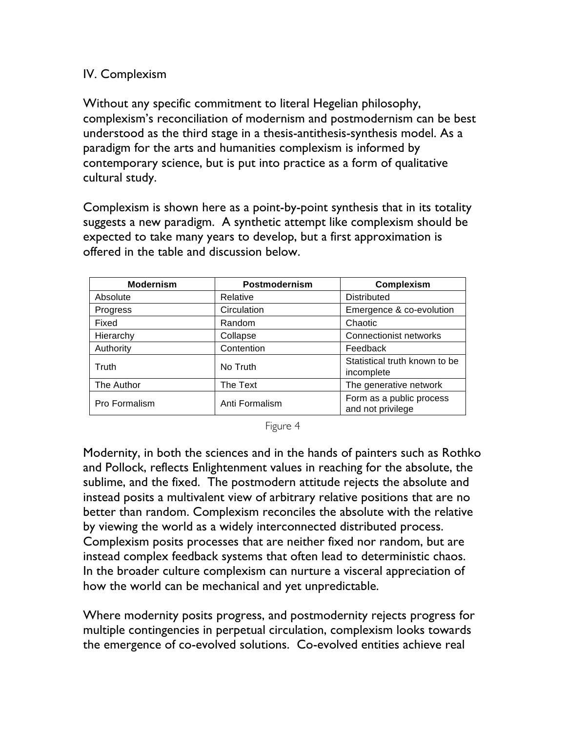### IV. Complexism

Without any specific commitment to literal Hegelian philosophy, complexism's reconciliation of modernism and postmodernism can be best understood as the third stage in a thesis-antithesis-synthesis model. As a paradigm for the arts and humanities complexism is informed by contemporary science, but is put into practice as a form of qualitative cultural study.

Complexism is shown here as a point-by-point synthesis that in its totality suggests a new paradigm. A synthetic attempt like complexism should be expected to take many years to develop, but a first approximation is offered in the table and discussion below.

| <b>Modernism</b> | Postmodernism  | <b>Complexism</b>                             |
|------------------|----------------|-----------------------------------------------|
| Absolute         | Relative       | <b>Distributed</b>                            |
| Progress         | Circulation    | Emergence & co-evolution                      |
| Fixed            | Random         | Chaotic                                       |
| Hierarchy        | Collapse       | <b>Connectionist networks</b>                 |
| Authority        | Contention     | Feedback                                      |
| Truth            | No Truth       | Statistical truth known to be<br>incomplete   |
| The Author       | The Text       | The generative network                        |
| Pro Formalism    | Anti Formalism | Form as a public process<br>and not privilege |

Figure 4

Modernity, in both the sciences and in the hands of painters such as Rothko and Pollock, reflects Enlightenment values in reaching for the absolute, the sublime, and the fixed. The postmodern attitude rejects the absolute and instead posits a multivalent view of arbitrary relative positions that are no better than random. Complexism reconciles the absolute with the relative by viewing the world as a widely interconnected distributed process. Complexism posits processes that are neither fixed nor random, but are instead complex feedback systems that often lead to deterministic chaos. In the broader culture complexism can nurture a visceral appreciation of how the world can be mechanical and yet unpredictable.

Where modernity posits progress, and postmodernity rejects progress for multiple contingencies in perpetual circulation, complexism looks towards the emergence of co-evolved solutions. Co-evolved entities achieve real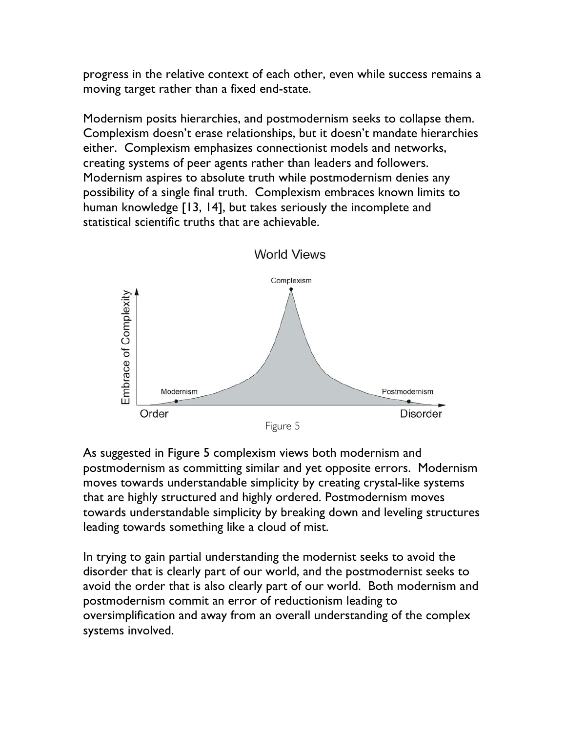progress in the relative context of each other, even while success remains a moving target rather than a fixed end-state.

Modernism posits hierarchies, and postmodernism seeks to collapse them. Complexism doesn't erase relationships, but it doesn't mandate hierarchies either. Complexism emphasizes connectionist models and networks, creating systems of peer agents rather than leaders and followers. Modernism aspires to absolute truth while postmodernism denies any possibility of a single final truth. Complexism embraces known limits to human knowledge [13, 14], but takes seriously the incomplete and statistical scientific truths that are achievable.



As suggested in Figure 5 complexism views both modernism and postmodernism as committing similar and yet opposite errors. Modernism moves towards understandable simplicity by creating crystal-like systems that are highly structured and highly ordered. Postmodernism moves towards understandable simplicity by breaking down and leveling structures leading towards something like a cloud of mist.

In trying to gain partial understanding the modernist seeks to avoid the disorder that is clearly part of our world, and the postmodernist seeks to avoid the order that is also clearly part of our world. Both modernism and postmodernism commit an error of reductionism leading to oversimplification and away from an overall understanding of the complex systems involved.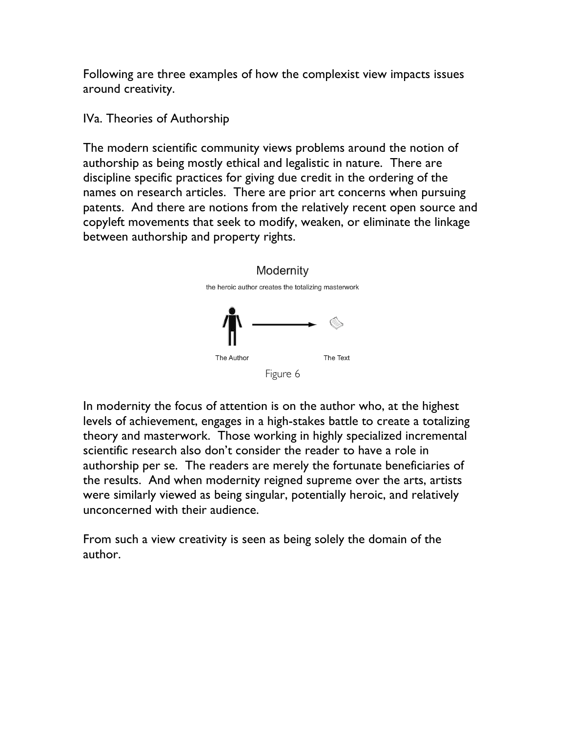Following are three examples of how the complexist view impacts issues around creativity.

IVa. Theories of Authorship

The modern scientific community views problems around the notion of authorship as being mostly ethical and legalistic in nature. There are discipline specific practices for giving due credit in the ordering of the names on research articles. There are prior art concerns when pursuing patents. And there are notions from the relatively recent open source and copyleft movements that seek to modify, weaken, or eliminate the linkage between authorship and property rights.



Figure 6

In modernity the focus of attention is on the author who, at the highest levels of achievement, engages in a high-stakes battle to create a totalizing theory and masterwork. Those working in highly specialized incremental scientific research also don't consider the reader to have a role in authorship per se. The readers are merely the fortunate beneficiaries of the results. And when modernity reigned supreme over the arts, artists were similarly viewed as being singular, potentially heroic, and relatively unconcerned with their audience.

From such a view creativity is seen as being solely the domain of the author.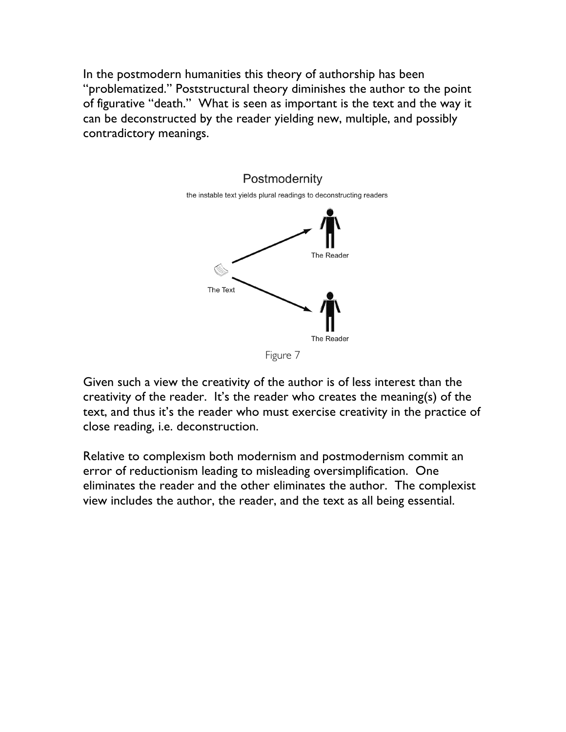In the postmodern humanities this theory of authorship has been "problematized." Poststructural theory diminishes the author to the point of figurative "death." What is seen as important is the text and the way it can be deconstructed by the reader yielding new, multiple, and possibly contradictory meanings.



Figure 7

Given such a view the creativity of the author is of less interest than the creativity of the reader. It's the reader who creates the meaning(s) of the text, and thus it's the reader who must exercise creativity in the practice of close reading, i.e. deconstruction.

Relative to complexism both modernism and postmodernism commit an error of reductionism leading to misleading oversimplification. One eliminates the reader and the other eliminates the author. The complexist view includes the author, the reader, and the text as all being essential.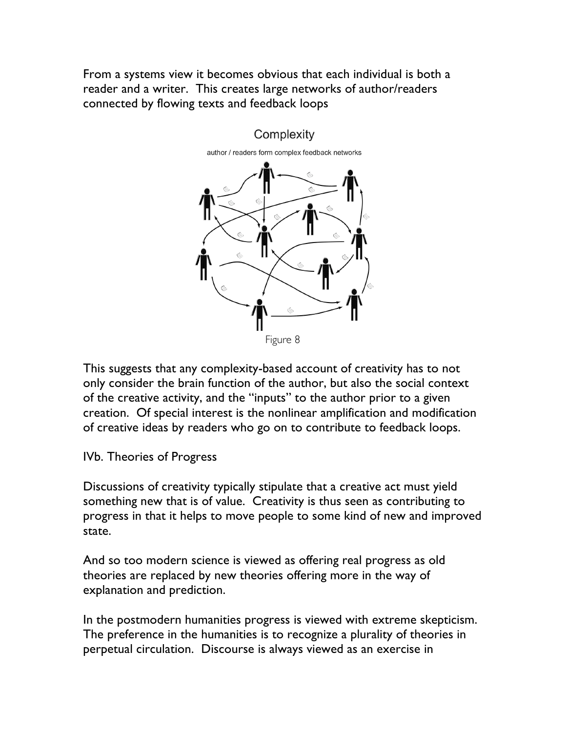From a systems view it becomes obvious that each individual is both a reader and a writer. This creates large networks of author/readers connected by flowing texts and feedback loops



This suggests that any complexity-based account of creativity has to not only consider the brain function of the author, but also the social context of the creative activity, and the "inputs" to the author prior to a given creation. Of special interest is the nonlinear amplification and modification of creative ideas by readers who go on to contribute to feedback loops.

#### IVb. Theories of Progress

Discussions of creativity typically stipulate that a creative act must yield something new that is of value. Creativity is thus seen as contributing to progress in that it helps to move people to some kind of new and improved state.

And so too modern science is viewed as offering real progress as old theories are replaced by new theories offering more in the way of explanation and prediction.

In the postmodern humanities progress is viewed with extreme skepticism. The preference in the humanities is to recognize a plurality of theories in perpetual circulation. Discourse is always viewed as an exercise in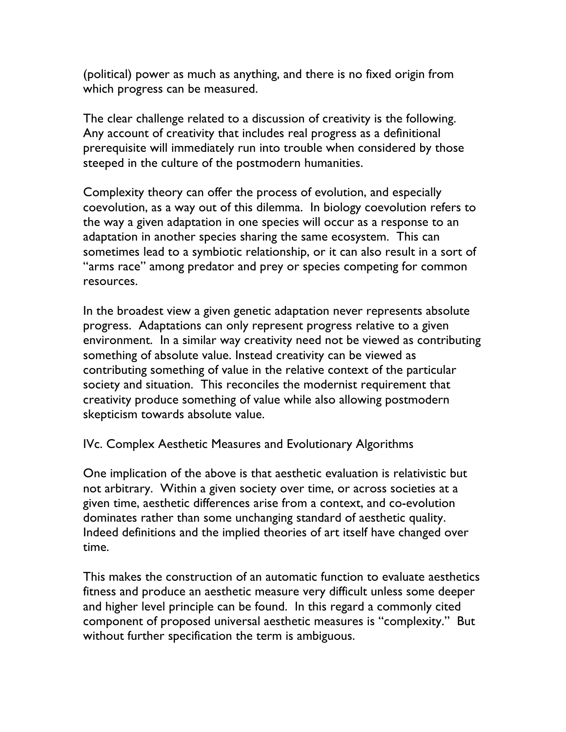(political) power as much as anything, and there is no fixed origin from which progress can be measured.

The clear challenge related to a discussion of creativity is the following. Any account of creativity that includes real progress as a definitional prerequisite will immediately run into trouble when considered by those steeped in the culture of the postmodern humanities.

Complexity theory can offer the process of evolution, and especially coevolution, as a way out of this dilemma. In biology coevolution refers to the way a given adaptation in one species will occur as a response to an adaptation in another species sharing the same ecosystem. This can sometimes lead to a symbiotic relationship, or it can also result in a sort of "arms race" among predator and prey or species competing for common resources.

In the broadest view a given genetic adaptation never represents absolute progress. Adaptations can only represent progress relative to a given environment. In a similar way creativity need not be viewed as contributing something of absolute value. Instead creativity can be viewed as contributing something of value in the relative context of the particular society and situation. This reconciles the modernist requirement that creativity produce something of value while also allowing postmodern skepticism towards absolute value.

IVc. Complex Aesthetic Measures and Evolutionary Algorithms

One implication of the above is that aesthetic evaluation is relativistic but not arbitrary. Within a given society over time, or across societies at a given time, aesthetic differences arise from a context, and co-evolution dominates rather than some unchanging standard of aesthetic quality. Indeed definitions and the implied theories of art itself have changed over time.

This makes the construction of an automatic function to evaluate aesthetics fitness and produce an aesthetic measure very difficult unless some deeper and higher level principle can be found. In this regard a commonly cited component of proposed universal aesthetic measures is "complexity." But without further specification the term is ambiguous.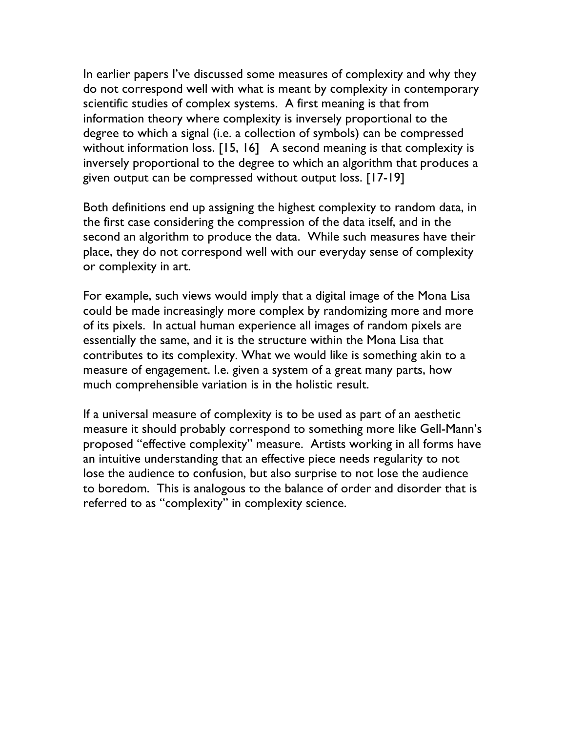In earlier papers I've discussed some measures of complexity and why they do not correspond well with what is meant by complexity in contemporary scientific studies of complex systems. A first meaning is that from information theory where complexity is inversely proportional to the degree to which a signal (i.e. a collection of symbols) can be compressed without information loss. [15, 16] A second meaning is that complexity is inversely proportional to the degree to which an algorithm that produces a given output can be compressed without output loss. [17-19]

Both definitions end up assigning the highest complexity to random data, in the first case considering the compression of the data itself, and in the second an algorithm to produce the data. While such measures have their place, they do not correspond well with our everyday sense of complexity or complexity in art.

For example, such views would imply that a digital image of the Mona Lisa could be made increasingly more complex by randomizing more and more of its pixels. In actual human experience all images of random pixels are essentially the same, and it is the structure within the Mona Lisa that contributes to its complexity. What we would like is something akin to a measure of engagement. I.e. given a system of a great many parts, how much comprehensible variation is in the holistic result.

If a universal measure of complexity is to be used as part of an aesthetic measure it should probably correspond to something more like Gell-Mann's proposed "effective complexity" measure. Artists working in all forms have an intuitive understanding that an effective piece needs regularity to not lose the audience to confusion, but also surprise to not lose the audience to boredom. This is analogous to the balance of order and disorder that is referred to as "complexity" in complexity science.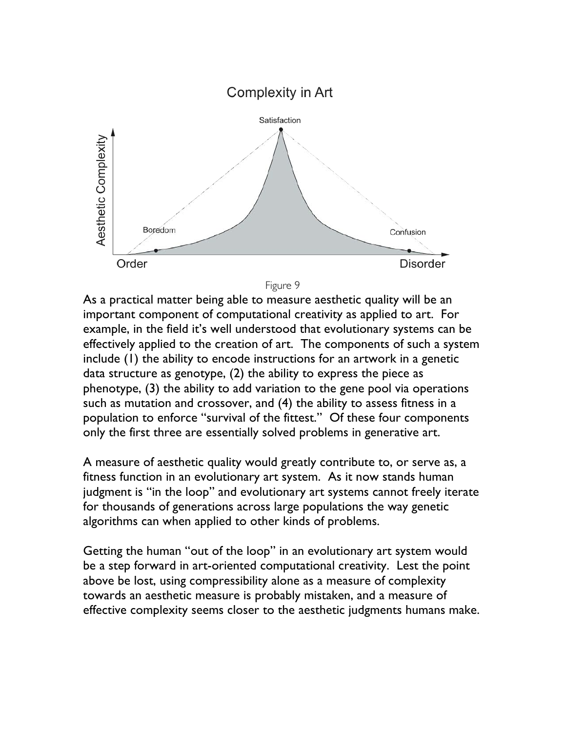



As a practical matter being able to measure aesthetic quality will be an important component of computational creativity as applied to art. For example, in the field it's well understood that evolutionary systems can be effectively applied to the creation of art. The components of such a system include (1) the ability to encode instructions for an artwork in a genetic data structure as genotype, (2) the ability to express the piece as phenotype, (3) the ability to add variation to the gene pool via operations such as mutation and crossover, and (4) the ability to assess fitness in a population to enforce "survival of the fittest." Of these four components only the first three are essentially solved problems in generative art.

A measure of aesthetic quality would greatly contribute to, or serve as, a fitness function in an evolutionary art system. As it now stands human judgment is "in the loop" and evolutionary art systems cannot freely iterate for thousands of generations across large populations the way genetic algorithms can when applied to other kinds of problems.

Getting the human "out of the loop" in an evolutionary art system would be a step forward in art-oriented computational creativity. Lest the point above be lost, using compressibility alone as a measure of complexity towards an aesthetic measure is probably mistaken, and a measure of effective complexity seems closer to the aesthetic judgments humans make.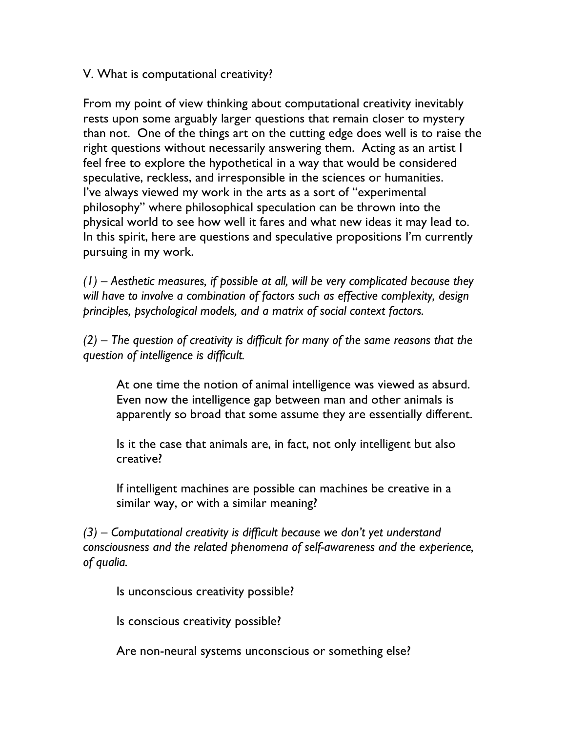V. What is computational creativity?

From my point of view thinking about computational creativity inevitably rests upon some arguably larger questions that remain closer to mystery than not. One of the things art on the cutting edge does well is to raise the right questions without necessarily answering them. Acting as an artist I feel free to explore the hypothetical in a way that would be considered speculative, reckless, and irresponsible in the sciences or humanities. I've always viewed my work in the arts as a sort of "experimental philosophy" where philosophical speculation can be thrown into the physical world to see how well it fares and what new ideas it may lead to. In this spirit, here are questions and speculative propositions I'm currently pursuing in my work.

*(1) – Aesthetic measures, if possible at all, will be very complicated because they will have to involve a combination of factors such as effective complexity, design principles, psychological models, and a matrix of social context factors.*

*(2) – The question of creativity is difficult for many of the same reasons that the question of intelligence is difficult.*

At one time the notion of animal intelligence was viewed as absurd. Even now the intelligence gap between man and other animals is apparently so broad that some assume they are essentially different.

Is it the case that animals are, in fact, not only intelligent but also creative?

If intelligent machines are possible can machines be creative in a similar way, or with a similar meaning?

*(3) – Computational creativity is difficult because we don't yet understand consciousness and the related phenomena of self-awareness and the experience, of qualia.*

Is unconscious creativity possible?

Is conscious creativity possible?

Are non-neural systems unconscious or something else?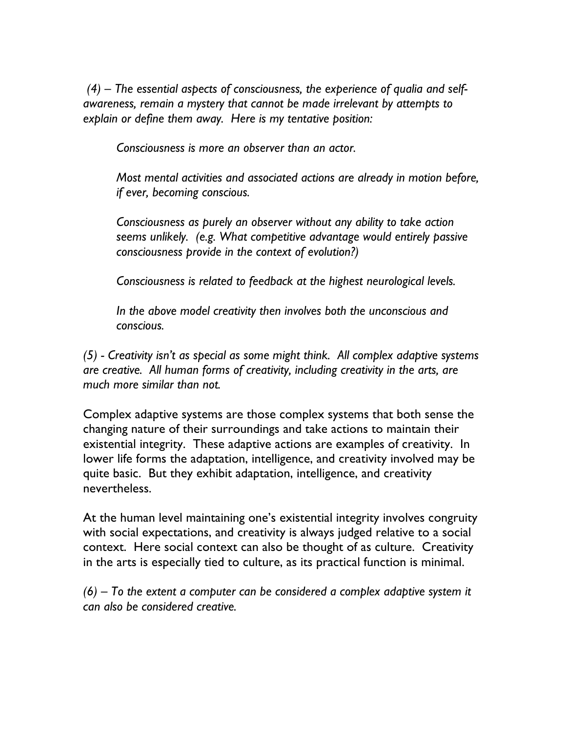*(4) – The essential aspects of consciousness, the experience of qualia and selfawareness, remain a mystery that cannot be made irrelevant by attempts to explain or define them away. Here is my tentative position:*

*Consciousness is more an observer than an actor.*

*Most mental activities and associated actions are already in motion before, if ever, becoming conscious.*

*Consciousness as purely an observer without any ability to take action seems unlikely. (e.g. What competitive advantage would entirely passive consciousness provide in the context of evolution?)*

*Consciousness is related to feedback at the highest neurological levels.*

*In the above model creativity then involves both the unconscious and conscious.*

*(5) - Creativity isn't as special as some might think. All complex adaptive systems are creative. All human forms of creativity, including creativity in the arts, are much more similar than not.*

Complex adaptive systems are those complex systems that both sense the changing nature of their surroundings and take actions to maintain their existential integrity. These adaptive actions are examples of creativity. In lower life forms the adaptation, intelligence, and creativity involved may be quite basic. But they exhibit adaptation, intelligence, and creativity nevertheless.

At the human level maintaining one's existential integrity involves congruity with social expectations, and creativity is always judged relative to a social context. Here social context can also be thought of as culture. Creativity in the arts is especially tied to culture, as its practical function is minimal.

*(6) – To the extent a computer can be considered a complex adaptive system it can also be considered creative.*